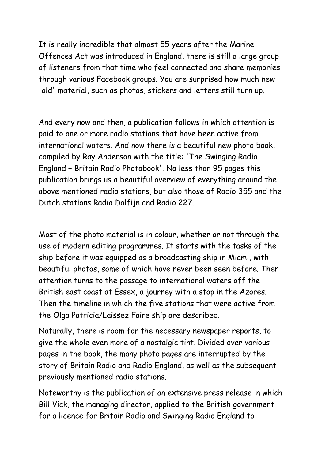It is really incredible that almost 55 years after the Marine Offences Act was introduced in England, there is still a large group of listeners from that time who feel connected and share memories through various Facebook groups. You are surprised how much new 'old' material, such as photos, stickers and letters still turn up.

And every now and then, a publication follows in which attention is paid to one or more radio stations that have been active from international waters. And now there is a beautiful new photo book, compiled by Ray Anderson with the title: 'The Swinging Radio England + Britain Radio Photobook'. No less than 95 pages this publication brings us a beautiful overview of everything around the above mentioned radio stations, but also those of Radio 355 and the Dutch stations Radio Dolfijn and Radio 227.

Most of the photo material is in colour, whether or not through the use of modern editing programmes. It starts with the tasks of the ship before it was equipped as a broadcasting ship in Miami, with beautiful photos, some of which have never been seen before. Then attention turns to the passage to international waters off the British east coast at Essex, a journey with a stop in the Azores. Then the timeline in which the five stations that were active from the Olga Patricia/Laissez Faire ship are described.

Naturally, there is room for the necessary newspaper reports, to give the whole even more of a nostalgic tint. Divided over various pages in the book, the many photo pages are interrupted by the story of Britain Radio and Radio England, as well as the subsequent previously mentioned radio stations.

Noteworthy is the publication of an extensive press release in which Bill Vick, the managing director, applied to the British government for a licence for Britain Radio and Swinging Radio England to